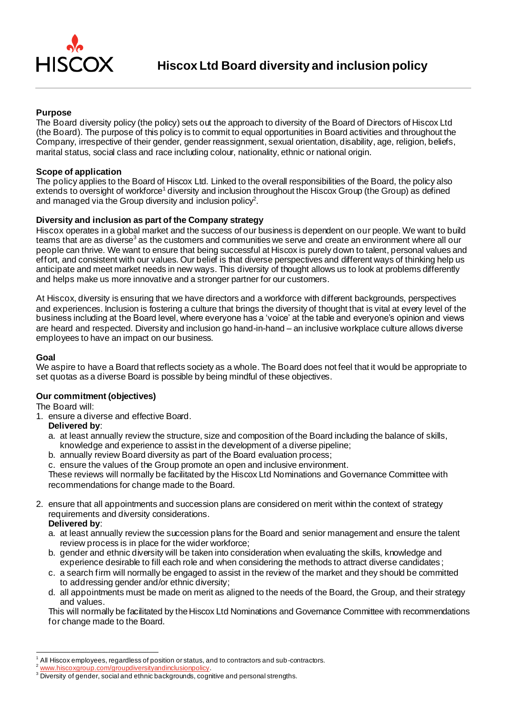

# **Purpose**

The Board diversity policy (the policy) sets out the approach to diversity of the Board of Directors of Hiscox Ltd (the Board). The purpose of this policy is to commit to equal opportunities in Board activities and throughout the Company, irrespective of their gender, gender reassignment, sexual orientation, disability, age, religion, beliefs, marital status, social class and race including colour, nationality, ethnic or national origin.

### **Scope of application**

The policy applies to the Board of Hiscox Ltd. Linked to the overall responsibilities of the Board, the policy also extends to oversight of workforce<sup>1</sup> diversity and inclusion throughout the Hiscox Group (the Group) as defined and managed via the Group diversity and inclusion policy<sup>2</sup>.

# **Diversity and inclusion as part of the Company strategy**

Hiscox operates in a global market and the success of our business is dependent on our people. We want to build teams that are as diverse<sup>3</sup> as the customers and communities we serve and create an environment where all our people can thrive. We want to ensure that being successful at Hiscox is purely down to talent, personal values and effort, and consistent with our values. Our belief is that diverse perspectives and different ways of thinking help us anticipate and meet market needs in new ways. This diversity of thought allows us to look at problems differently and helps make us more innovative and a stronger partner for our customers.

At Hiscox, diversity is ensuring that we have directors and a workforce with different backgrounds, perspectives and experiences. Inclusion is fostering a culture that brings the diversity of thought that is vital at every level of the business including at the Board level, where everyone has a 'voice' at the table and everyone's opinion and views are heard and respected. Diversity and inclusion go hand-in-hand – an inclusive workplace culture allows diverse employees to have an impact on our business.

#### **Goal**

We aspire to have a Board that reflects society as a whole. The Board does not feel that it would be appropriate to set quotas as a diverse Board is possible by being mindful of these objectives.

### **Our commitment (objectives)**

The Board will:

1. ensure a diverse and effective Board.

### **Delivered by**:

- a. at least annually review the structure, size and composition of the Board including the balance of skills, knowledge and experience to assist in the development of a diverse pipeline;
- b. annually review Board diversity as part of the Board evaluation process;

c. ensure the values of the Group promote an open and inclusive environment.

These reviews will normally be facilitated by the Hiscox Ltd Nominations and Governance Committee with recommendations for change made to the Board.

2. ensure that all appointments and succession plans are considered on merit within the context of strategy requirements and diversity considerations.

### **Delivered by**:

- a. at least annually review the succession plans for the Board and senior management and ensure the talent review process is in place for the wider workforce;
- b. gender and ethnic diversity will be taken into consideration when evaluating the skills, knowledge and experience desirable to fill each role and when considering the methods to attract diverse candidates ;
- c. a search firm will normally be engaged to assist in the review of the market and they should be committed to addressing gender and/or ethnic diversity;
- d. all appointments must be made on merit as aligned to the needs of the Board, the Group, and their strategy and values.

This will normally be facilitated by the Hiscox Ltd Nominations and Governance Committee with recommendations for change made to the Board.

<sup>1</sup> All Hiscox employees, regardless of position or status, and to contractors and sub-contractors.

www.hiscoxgroup.com/groupdiversityandinclusionpolicy

<sup>&</sup>lt;sup>3</sup> Diversity of gender, social and ethnic backgrounds, cognitive and personal strengths.